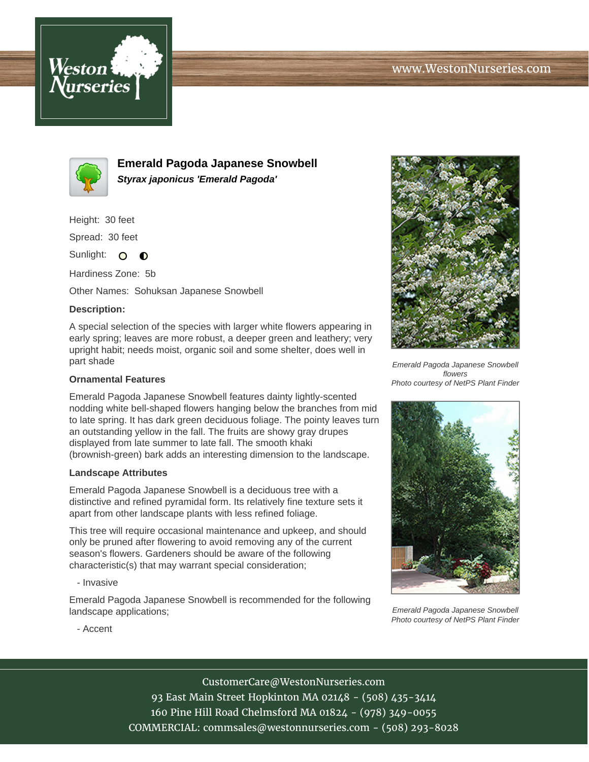



**Emerald Pagoda Japanese Snowbell Styrax japonicus 'Emerald Pagoda'**

Height: 30 feet

Spread: 30 feet

Sunlight: O **O** 

Hardiness Zone: 5b

Other Names: Sohuksan Japanese Snowbell

## **Description:**

A special selection of the species with larger white flowers appearing in early spring; leaves are more robust, a deeper green and leathery; very upright habit; needs moist, organic soil and some shelter, does well in part shade

## **Ornamental Features**

Emerald Pagoda Japanese Snowbell features dainty lightly-scented nodding white bell-shaped flowers hanging below the branches from mid to late spring. It has dark green deciduous foliage. The pointy leaves turn an outstanding yellow in the fall. The fruits are showy gray drupes displayed from late summer to late fall. The smooth khaki (brownish-green) bark adds an interesting dimension to the landscape.

## **Landscape Attributes**

Emerald Pagoda Japanese Snowbell is a deciduous tree with a distinctive and refined pyramidal form. Its relatively fine texture sets it apart from other landscape plants with less refined foliage.

This tree will require occasional maintenance and upkeep, and should only be pruned after flowering to avoid removing any of the current season's flowers. Gardeners should be aware of the following characteristic(s) that may warrant special consideration;

- Invasive

Emerald Pagoda Japanese Snowbell is recommended for the following landscape applications;



Emerald Pagoda Japanese Snowbell flowers Photo courtesy of NetPS Plant Finder



Emerald Pagoda Japanese Snowbell Photo courtesy of NetPS Plant Finder

- Accent

CustomerCare@WestonNurseries.com

93 East Main Street Hopkinton MA 02148 - (508) 435-3414 160 Pine Hill Road Chelmsford MA 01824 - (978) 349-0055 COMMERCIAL: commsales@westonnurseries.com - (508) 293-8028